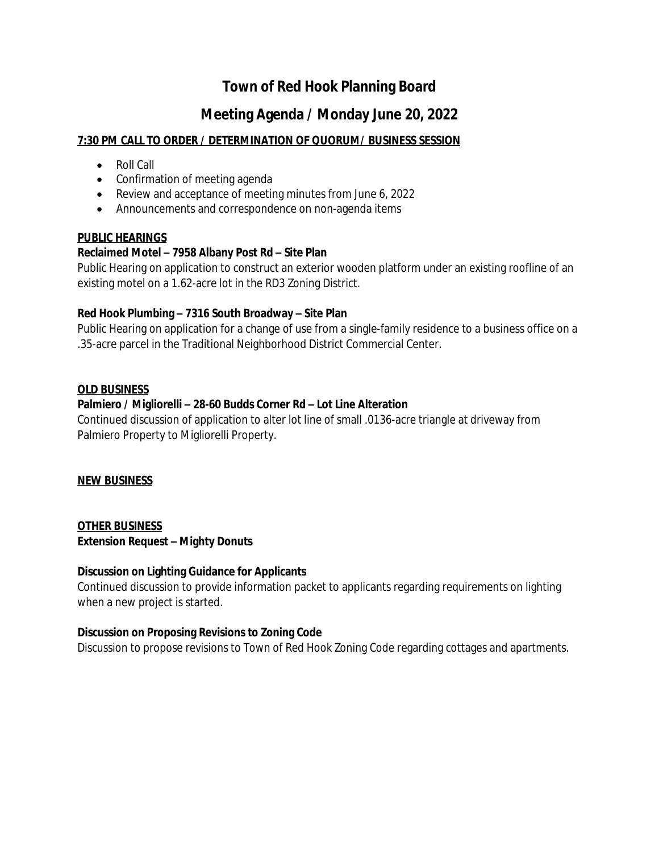# **Town of Red Hook Planning Board**

## **Meeting Agenda / Monday June 20, 2022**

## **7:30 PM CALL TO ORDER / DETERMINATION OF QUORUM/ BUSINESS SESSION**

- Roll Call
- Confirmation of meeting agenda
- Review and acceptance of meeting minutes from June 6, 2022
- Announcements and correspondence on non-agenda items

#### **PUBLIC HEARINGS**

#### **Reclaimed Motel – 7958 Albany Post Rd – Site Plan**

Public Hearing on application to construct an exterior wooden platform under an existing roofline of an existing motel on a 1.62-acre lot in the RD3 Zoning District.

#### **Red Hook Plumbing – 7316 South Broadway – Site Plan**

Public Hearing on application for a change of use from a single-family residence to a business office on a .35-acre parcel in the Traditional Neighborhood District Commercial Center.

#### **OLD BUSINESS**

#### **Palmiero / Migliorelli – 28-60 Budds Corner Rd – Lot Line Alteration**

Continued discussion of application to alter lot line of small .0136-acre triangle at driveway from Palmiero Property to Migliorelli Property.

#### **NEW BUSINESS**

## **OTHER BUSINESS Extension Request – Mighty Donuts**

#### **Discussion on Lighting Guidance for Applicants**

Continued discussion to provide information packet to applicants regarding requirements on lighting when a new project is started.

#### **Discussion on Proposing Revisions to Zoning Code**

Discussion to propose revisions to Town of Red Hook Zoning Code regarding cottages and apartments.